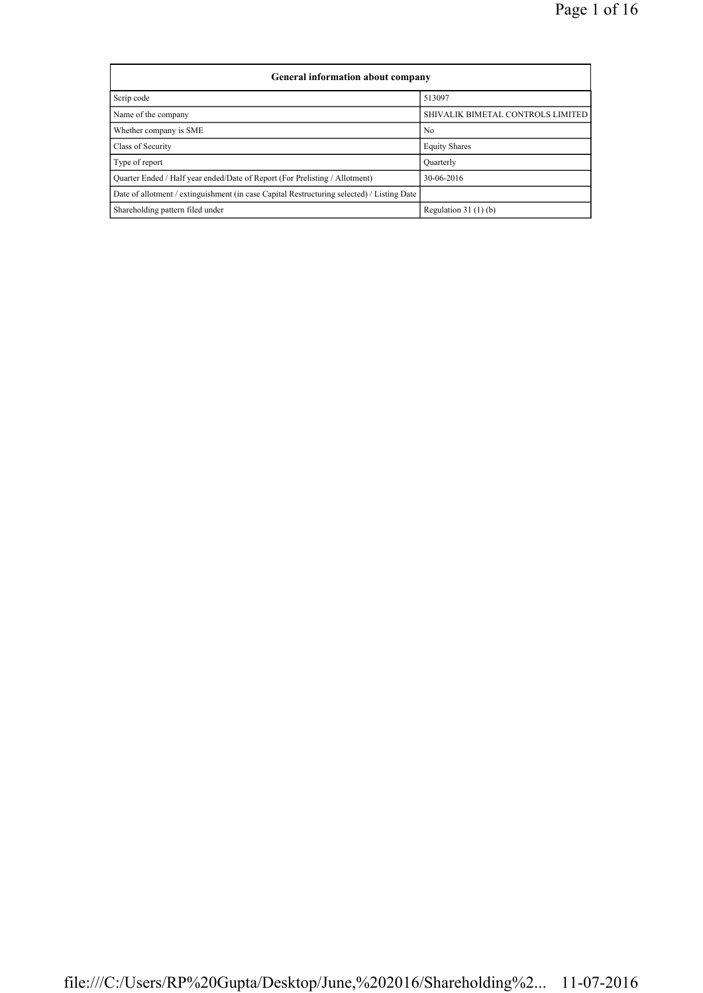| General information about company                                                          |                                   |
|--------------------------------------------------------------------------------------------|-----------------------------------|
| Scrip code                                                                                 | 513097                            |
| Name of the company                                                                        | SHIVALIK BIMETAL CONTROLS LIMITED |
| Whether company is SME                                                                     | N <sub>0</sub>                    |
| Class of Security                                                                          | <b>Equity Shares</b>              |
| Type of report                                                                             | Quarterly                         |
| Ouarter Ended / Half year ended/Date of Report (For Prelisting / Allotment)                | 30-06-2016                        |
| Date of allotment / extinguishment (in case Capital Restructuring selected) / Listing Date |                                   |
| Shareholding pattern filed under                                                           | Regulation $31(1)(b)$             |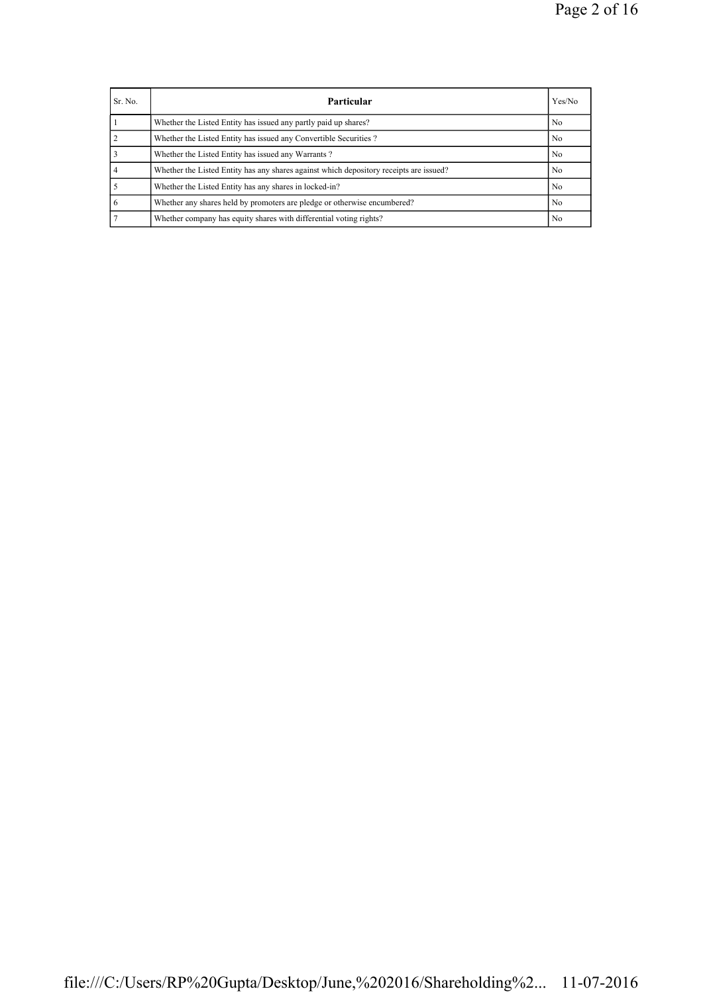| Sr. No. | Particular                                                                             | Yes/No         |
|---------|----------------------------------------------------------------------------------------|----------------|
|         | Whether the Listed Entity has issued any partly paid up shares?                        | N <sub>0</sub> |
|         | Whether the Listed Entity has issued any Convertible Securities?                       | N <sub>0</sub> |
|         | Whether the Listed Entity has issued any Warrants?                                     | N <sub>0</sub> |
|         | Whether the Listed Entity has any shares against which depository receipts are issued? | No             |
|         | Whether the Listed Entity has any shares in locked-in?                                 | No.            |
| 6       | Whether any shares held by promoters are pledge or otherwise encumbered?               | No.            |
|         | Whether company has equity shares with differential voting rights?                     | No.            |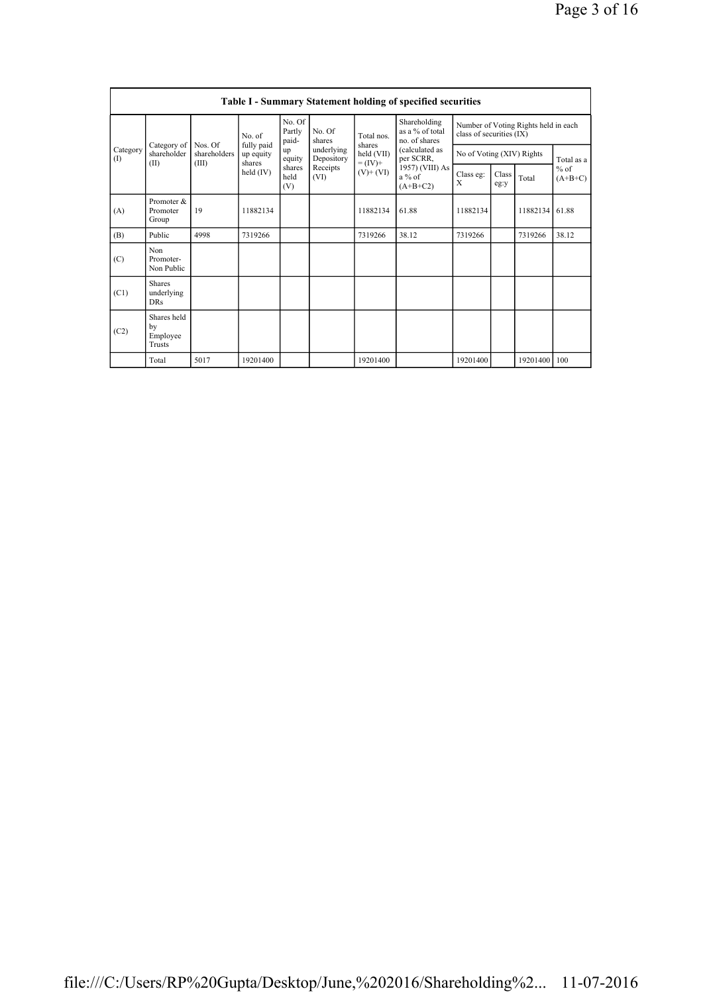|                 | Table I - Summary Statement holding of specified securities |                         |                         |                           |                          |                              |                                                  |                                                                  |               |          |                                   |  |
|-----------------|-------------------------------------------------------------|-------------------------|-------------------------|---------------------------|--------------------------|------------------------------|--------------------------------------------------|------------------------------------------------------------------|---------------|----------|-----------------------------------|--|
|                 |                                                             |                         | No. of                  | No. Of<br>Partly<br>paid- | No. Of<br>shares         | Total nos                    | Shareholding<br>as a % of total<br>no. of shares | Number of Voting Rights held in each<br>class of securities (IX) |               |          |                                   |  |
| Category<br>(I) | Category of<br>shareholder                                  | Nos. Of<br>shareholders | fully paid<br>up equity | up<br>equity              | underlying<br>Depository | shares<br>held (VII)         | (calculated as<br>per SCRR,                      | No of Voting (XIV) Rights                                        |               |          | Total as a<br>$%$ of<br>$(A+B+C)$ |  |
|                 | (II)                                                        | (III)                   | shares<br>held (IV)     | shares<br>held<br>(V)     | Receipts<br>(VI)         | $= (IV) +$<br>$(V)$ + $(VI)$ | 1957) (VIII) As<br>$a\%$ of<br>$(A+B+C2)$        | Class eg:<br>Χ                                                   | Class<br>eg:y | Total    |                                   |  |
| (A)             | Promoter $\&$<br>Promoter<br>Group                          | 19                      | 11882134                |                           |                          | 11882134                     | 61.88                                            | 11882134                                                         |               | 11882134 | 61.88                             |  |
| (B)             | Public                                                      | 4998                    | 7319266                 |                           |                          | 7319266                      | 38.12                                            | 7319266                                                          |               | 7319266  | 38.12                             |  |
| (C)             | Non<br>Promoter-<br>Non Public                              |                         |                         |                           |                          |                              |                                                  |                                                                  |               |          |                                   |  |
| (C1)            | <b>Shares</b><br>underlying<br><b>DRs</b>                   |                         |                         |                           |                          |                              |                                                  |                                                                  |               |          |                                   |  |
| (C2)            | Shares held<br>by<br>Employee<br>Trusts                     |                         |                         |                           |                          |                              |                                                  |                                                                  |               |          |                                   |  |
|                 | Total                                                       | 5017                    | 19201400                |                           |                          | 19201400                     |                                                  | 19201400                                                         |               | 19201400 | 100                               |  |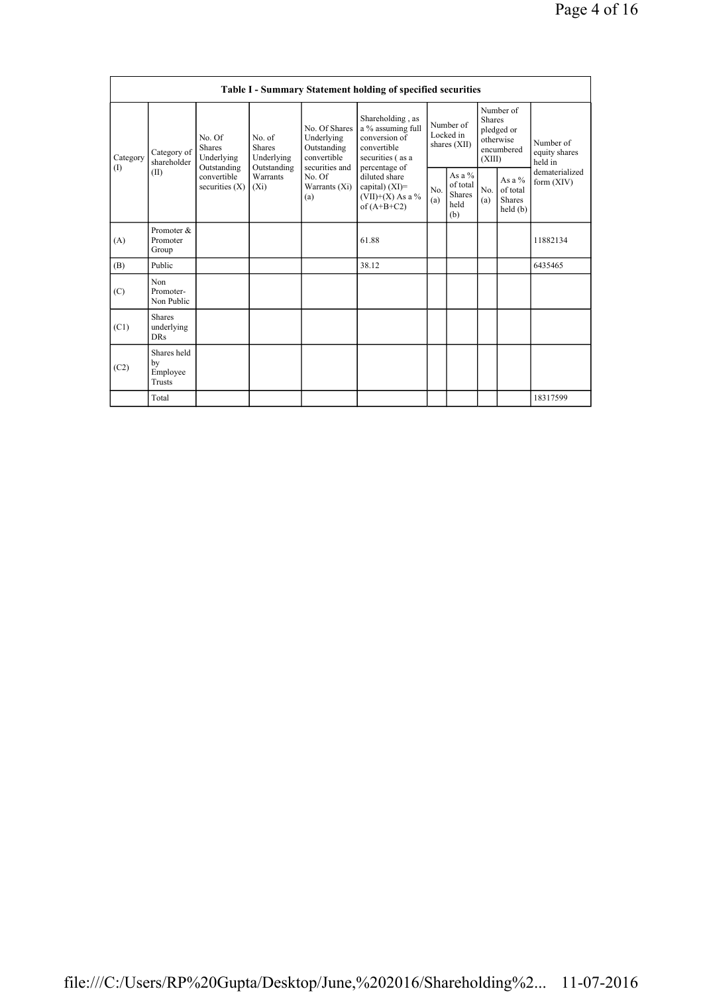|          | Table I - Summary Statement holding of specified securities |                                                |                                       |                                                                             |                                                                                                            |                                        |                                                      |                                                                               |                                                |                                       |  |  |  |
|----------|-------------------------------------------------------------|------------------------------------------------|---------------------------------------|-----------------------------------------------------------------------------|------------------------------------------------------------------------------------------------------------|----------------------------------------|------------------------------------------------------|-------------------------------------------------------------------------------|------------------------------------------------|---------------------------------------|--|--|--|
| Category | Category of<br>shareholder                                  | No. Of<br><b>Shares</b><br>Underlying          | No. of<br><b>Shares</b><br>Underlying | No. Of Shares<br>Underlying<br>Outstanding<br>convertible<br>securities and | Shareholding, as<br>a % assuming full<br>conversion of<br>convertible<br>securities (as a<br>percentage of | Number of<br>Locked in<br>shares (XII) |                                                      | Number of<br><b>Shares</b><br>pledged or<br>otherwise<br>encumbered<br>(XIII) |                                                | Number of<br>equity shares<br>held in |  |  |  |
| (1)      | (II)                                                        | Outstanding<br>convertible<br>securities $(X)$ | Outstanding<br>Warrants<br>$(X_i)$    | No. Of<br>Warrants (Xi)<br>(a)                                              | diluted share<br>capital) $(XI)$ =<br>$(VII)+(X)$ As a %<br>of $(A+B+C2)$                                  | N <sub>0</sub><br>(a)                  | As a $%$<br>of total<br><b>Shares</b><br>held<br>(b) | No.<br>(a)                                                                    | As a %<br>of total<br><b>Shares</b><br>held(b) | dematerialized<br>form (XIV)          |  |  |  |
| (A)      | Promoter &<br>Promoter<br>Group                             |                                                |                                       |                                                                             | 61.88                                                                                                      |                                        |                                                      |                                                                               |                                                | 11882134                              |  |  |  |
| (B)      | Public                                                      |                                                |                                       |                                                                             | 38.12                                                                                                      |                                        |                                                      |                                                                               |                                                | 6435465                               |  |  |  |
| (C)      | Non<br>Promoter-<br>Non Public                              |                                                |                                       |                                                                             |                                                                                                            |                                        |                                                      |                                                                               |                                                |                                       |  |  |  |
| (C1)     | <b>Shares</b><br>underlying<br><b>DRs</b>                   |                                                |                                       |                                                                             |                                                                                                            |                                        |                                                      |                                                                               |                                                |                                       |  |  |  |
| (C2)     | Shares held<br>by<br>Employee<br>Trusts                     |                                                |                                       |                                                                             |                                                                                                            |                                        |                                                      |                                                                               |                                                |                                       |  |  |  |
|          | Total                                                       |                                                |                                       |                                                                             |                                                                                                            |                                        |                                                      |                                                                               |                                                | 18317599                              |  |  |  |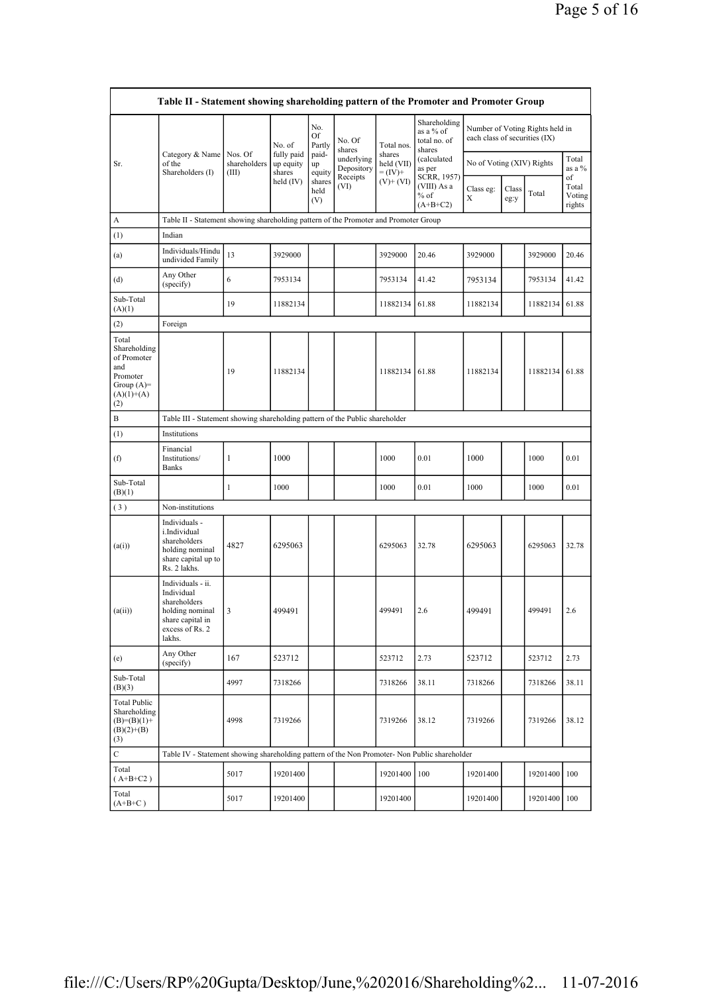|                                                                                                     | Table II - Statement showing shareholding pattern of the Promoter and Promoter Group                                |                                                                              |                                   |                       |                                              |                                    |                                                     |                               |               |                                 |                                 |  |  |  |
|-----------------------------------------------------------------------------------------------------|---------------------------------------------------------------------------------------------------------------------|------------------------------------------------------------------------------|-----------------------------------|-----------------------|----------------------------------------------|------------------------------------|-----------------------------------------------------|-------------------------------|---------------|---------------------------------|---------------------------------|--|--|--|
|                                                                                                     |                                                                                                                     |                                                                              | No. of                            | No.<br>Of<br>Partly   | No. Of<br>shares                             | Total nos.                         | Shareholding<br>as a % of<br>total no. of<br>shares | each class of securities (IX) |               | Number of Voting Rights held in |                                 |  |  |  |
| Sr.                                                                                                 | Category & Name<br>of the<br>Shareholders (I)                                                                       | Nos. Of<br>shareholders<br>(III)                                             | fully paid<br>up equity<br>shares | paid-<br>up<br>equity | underlying<br>Depository<br>Receipts<br>(VI) | shares<br>held (VII)<br>$= (IV) +$ | (calculated<br>as per                               | No of Voting (XIV) Rights     |               |                                 | Total<br>as a %                 |  |  |  |
|                                                                                                     |                                                                                                                     |                                                                              | held $(IV)$                       | shares<br>held<br>(V) |                                              | $(V)$ + $(VI)$                     | SCRR, 1957)<br>(VIII) As a<br>$%$ of<br>$(A+B+C2)$  | Class eg:<br>X                | Class<br>eg:y | Total                           | of<br>Total<br>Voting<br>rights |  |  |  |
| A                                                                                                   | Table II - Statement showing shareholding pattern of the Promoter and Promoter Group                                |                                                                              |                                   |                       |                                              |                                    |                                                     |                               |               |                                 |                                 |  |  |  |
| (1)                                                                                                 | Indian                                                                                                              |                                                                              |                                   |                       |                                              |                                    |                                                     |                               |               |                                 |                                 |  |  |  |
| (a)                                                                                                 | Individuals/Hindu<br>undivided Family                                                                               | 13                                                                           | 3929000                           |                       |                                              | 3929000                            | 20.46                                               | 3929000                       |               | 3929000                         | 20.46                           |  |  |  |
| (d)                                                                                                 | Any Other<br>(specify)                                                                                              | 6                                                                            | 7953134                           |                       |                                              | 7953134                            | 41.42                                               | 7953134                       |               | 7953134                         | 41.42                           |  |  |  |
| Sub-Total<br>(A)(1)                                                                                 |                                                                                                                     | 19                                                                           | 11882134                          |                       |                                              | 11882134                           | 61.88                                               | 11882134                      |               | 11882134                        | 61.88                           |  |  |  |
| (2)                                                                                                 | Foreign                                                                                                             |                                                                              |                                   |                       |                                              |                                    |                                                     |                               |               |                                 |                                 |  |  |  |
| Total<br>Shareholding<br>of Promoter<br>and<br>Promoter<br>Group $(A)=$<br>$(A)(1)+(A)$<br>$^{(2)}$ |                                                                                                                     | 19                                                                           | 11882134                          |                       |                                              | 11882134                           | 61.88                                               | 11882134                      |               | 11882134                        | 61.88                           |  |  |  |
| B                                                                                                   |                                                                                                                     | Table III - Statement showing shareholding pattern of the Public shareholder |                                   |                       |                                              |                                    |                                                     |                               |               |                                 |                                 |  |  |  |
| (1)                                                                                                 | Institutions                                                                                                        |                                                                              |                                   |                       |                                              |                                    |                                                     |                               |               |                                 |                                 |  |  |  |
| (f)                                                                                                 | Financial<br>Institutions/<br><b>Banks</b>                                                                          | 1                                                                            | 1000                              |                       |                                              | 1000                               | 0.01                                                | 1000                          |               | 1000                            | 0.01                            |  |  |  |
| Sub-Total<br>(B)(1)                                                                                 |                                                                                                                     | 1                                                                            | 1000                              |                       |                                              | 1000                               | 0.01                                                | 1000                          |               | 1000                            | 0.01                            |  |  |  |
| (3)                                                                                                 | Non-institutions                                                                                                    |                                                                              |                                   |                       |                                              |                                    |                                                     |                               |               |                                 |                                 |  |  |  |
| (a(i))                                                                                              | Individuals -<br>i.Individual<br>shareholders<br>holding nominal<br>share capital up to<br>Rs. 2 lakhs.             | 4827                                                                         | 6295063                           |                       |                                              | 6295063                            | 32.78                                               | 6295063                       |               | 6295063                         | 32.78                           |  |  |  |
| (a(ii))                                                                                             | Individuals - ii.<br>Individual<br>shareholders<br>holding nominal<br>share capital in<br>excess of Rs. 2<br>lakhs. | 3                                                                            | 499491                            |                       |                                              | 499491                             | 2.6                                                 | 499491                        |               | 499491                          | 2.6                             |  |  |  |
| (e)                                                                                                 | Any Other<br>(specify)                                                                                              | 167                                                                          | 523712                            |                       |                                              | 523712                             | 2.73                                                | 523712                        |               | 523712                          | 2.73                            |  |  |  |
| Sub-Total<br>(B)(3)                                                                                 |                                                                                                                     | 4997                                                                         | 7318266                           |                       |                                              | 7318266                            | 38.11                                               | 7318266                       |               | 7318266                         | 38.11                           |  |  |  |
| Total Public<br>Shareholding<br>$(B)=(B)(1)+$<br>$(B)(2)+(B)$<br>(3)                                |                                                                                                                     | 4998                                                                         | 7319266                           |                       |                                              | 7319266                            | 38.12                                               | 7319266                       |               | 7319266                         | 38.12                           |  |  |  |
| $\mathbf C$                                                                                         | Table IV - Statement showing shareholding pattern of the Non Promoter- Non Public shareholder                       |                                                                              |                                   |                       |                                              |                                    |                                                     |                               |               |                                 |                                 |  |  |  |
| Total<br>$(A+B+C2)$                                                                                 |                                                                                                                     | 5017                                                                         | 19201400                          |                       |                                              | 19201400                           | 100                                                 | 19201400                      |               | 19201400                        | 100                             |  |  |  |
| Total<br>$(A+B+C)$                                                                                  |                                                                                                                     | 5017                                                                         | 19201400                          |                       |                                              | 19201400                           |                                                     | 19201400                      |               | 19201400                        | 100                             |  |  |  |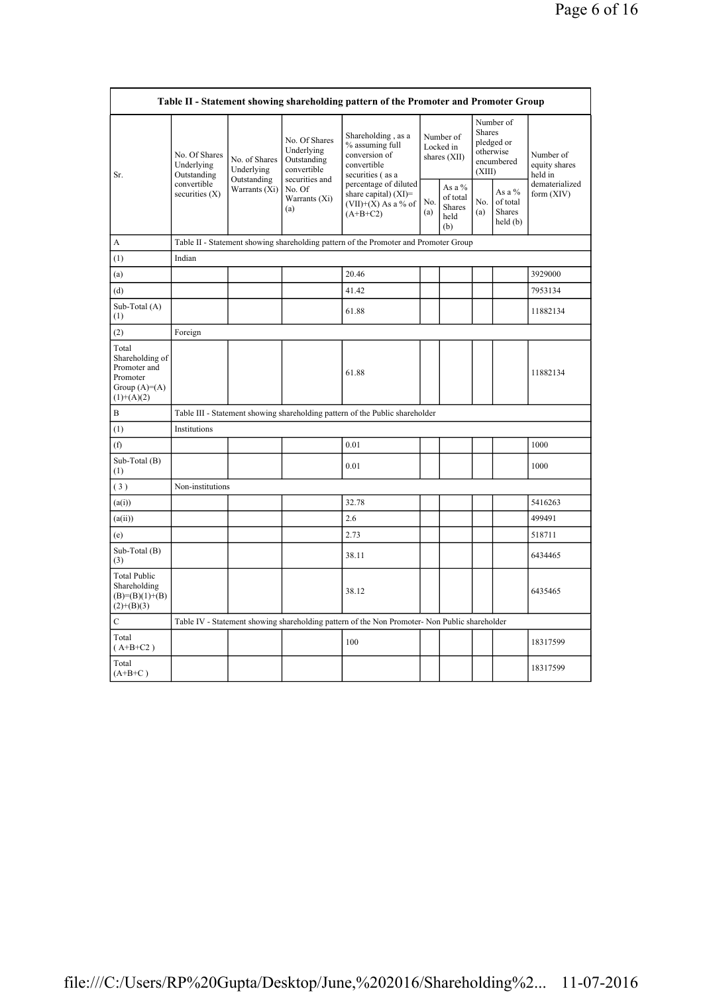|                                                                                                                                                                                                                                                                                              | Table II - Statement showing shareholding pattern of the Promoter and Promoter Group |                              |                                                           |                                                                                               |                                          |                                                    |                                                                               |                                                |                                       |  |  |  |  |
|----------------------------------------------------------------------------------------------------------------------------------------------------------------------------------------------------------------------------------------------------------------------------------------------|--------------------------------------------------------------------------------------|------------------------------|-----------------------------------------------------------|-----------------------------------------------------------------------------------------------|------------------------------------------|----------------------------------------------------|-------------------------------------------------------------------------------|------------------------------------------------|---------------------------------------|--|--|--|--|
| Sr.                                                                                                                                                                                                                                                                                          | No. Of Shares<br>Underlying<br>Outstanding                                           | No. of Shares<br>Underlying  | No. Of Shares<br>Underlying<br>Outstanding<br>convertible | Shareholding, as a<br>% assuming full<br>conversion of<br>convertible<br>securities (as a     | Number of<br>Locked in<br>shares $(XII)$ |                                                    | Number of<br><b>Shares</b><br>pledged or<br>otherwise<br>encumbered<br>(XIII) |                                                | Number of<br>equity shares<br>held in |  |  |  |  |
| A<br>(1)<br>(a)<br>(d)<br>Sub-Total (A)<br>(1)<br>(2)<br>Total<br>Shareholding of<br>Promoter and<br>Promoter<br>Group $(A)=A)$<br>$(1)+(A)(2)$<br>B<br>(1)<br>(f)<br>Sub-Total (B)<br>(1)<br>(3)<br>(a(i))<br>(a(ii))<br>(e)<br>Sub-Total (B)<br>(3)<br><b>Total Public</b><br>Shareholding | convertible<br>securities $(X)$                                                      | Outstanding<br>Warrants (Xi) | securities and<br>No. Of<br>Warrants (Xi)<br>(a)          | percentage of diluted<br>share capital) $(XI)$ =<br>$(VII)+(X)$ As a % of<br>$(A+B+C2)$       | No.<br>(a)                               | As a %<br>of total<br><b>Shares</b><br>held<br>(b) | No.<br>(a)                                                                    | As a %<br>of total<br><b>Shares</b><br>held(b) | dematerialized<br>form $(XIV)$        |  |  |  |  |
|                                                                                                                                                                                                                                                                                              |                                                                                      |                              |                                                           | Table II - Statement showing shareholding pattern of the Promoter and Promoter Group          |                                          |                                                    |                                                                               |                                                |                                       |  |  |  |  |
|                                                                                                                                                                                                                                                                                              | Indian                                                                               |                              |                                                           |                                                                                               |                                          |                                                    |                                                                               |                                                |                                       |  |  |  |  |
|                                                                                                                                                                                                                                                                                              |                                                                                      |                              |                                                           | 20.46                                                                                         |                                          |                                                    |                                                                               |                                                | 3929000                               |  |  |  |  |
|                                                                                                                                                                                                                                                                                              |                                                                                      |                              |                                                           | 41.42                                                                                         |                                          |                                                    |                                                                               |                                                | 7953134                               |  |  |  |  |
|                                                                                                                                                                                                                                                                                              |                                                                                      |                              |                                                           | 61.88                                                                                         |                                          |                                                    |                                                                               |                                                | 11882134                              |  |  |  |  |
|                                                                                                                                                                                                                                                                                              | Foreign                                                                              |                              |                                                           |                                                                                               |                                          |                                                    |                                                                               |                                                |                                       |  |  |  |  |
|                                                                                                                                                                                                                                                                                              |                                                                                      |                              |                                                           | 61.88                                                                                         |                                          |                                                    |                                                                               |                                                | 11882134                              |  |  |  |  |
|                                                                                                                                                                                                                                                                                              |                                                                                      |                              |                                                           | Table III - Statement showing shareholding pattern of the Public shareholder                  |                                          |                                                    |                                                                               |                                                |                                       |  |  |  |  |
|                                                                                                                                                                                                                                                                                              | Institutions                                                                         |                              |                                                           |                                                                                               |                                          |                                                    |                                                                               |                                                |                                       |  |  |  |  |
|                                                                                                                                                                                                                                                                                              |                                                                                      |                              |                                                           | 0.01                                                                                          |                                          |                                                    |                                                                               |                                                | 1000                                  |  |  |  |  |
|                                                                                                                                                                                                                                                                                              |                                                                                      |                              |                                                           | 0.01                                                                                          |                                          |                                                    |                                                                               |                                                | 1000                                  |  |  |  |  |
|                                                                                                                                                                                                                                                                                              | Non-institutions                                                                     |                              |                                                           |                                                                                               |                                          |                                                    |                                                                               |                                                |                                       |  |  |  |  |
|                                                                                                                                                                                                                                                                                              |                                                                                      |                              |                                                           | 32.78                                                                                         |                                          |                                                    |                                                                               |                                                | 5416263                               |  |  |  |  |
|                                                                                                                                                                                                                                                                                              |                                                                                      |                              |                                                           | 2.6                                                                                           |                                          |                                                    |                                                                               |                                                | 499491                                |  |  |  |  |
|                                                                                                                                                                                                                                                                                              |                                                                                      |                              |                                                           | 2.73                                                                                          |                                          |                                                    |                                                                               |                                                | 518711                                |  |  |  |  |
|                                                                                                                                                                                                                                                                                              |                                                                                      |                              |                                                           | 38.11                                                                                         |                                          |                                                    |                                                                               |                                                | 6434465                               |  |  |  |  |
| $(B)= (B)(1)+(B)$<br>$(2)+(B)(3)$                                                                                                                                                                                                                                                            |                                                                                      |                              |                                                           | 38.12                                                                                         |                                          |                                                    |                                                                               |                                                | 6435465                               |  |  |  |  |
| $\mathbf C$                                                                                                                                                                                                                                                                                  |                                                                                      |                              |                                                           | Table IV - Statement showing shareholding pattern of the Non Promoter- Non Public shareholder |                                          |                                                    |                                                                               |                                                |                                       |  |  |  |  |
| Total<br>$(A+B+C2)$                                                                                                                                                                                                                                                                          |                                                                                      |                              |                                                           | 100                                                                                           |                                          |                                                    |                                                                               |                                                | 18317599                              |  |  |  |  |
| Total<br>$(A+B+C)$                                                                                                                                                                                                                                                                           |                                                                                      |                              |                                                           |                                                                                               |                                          |                                                    |                                                                               |                                                | 18317599                              |  |  |  |  |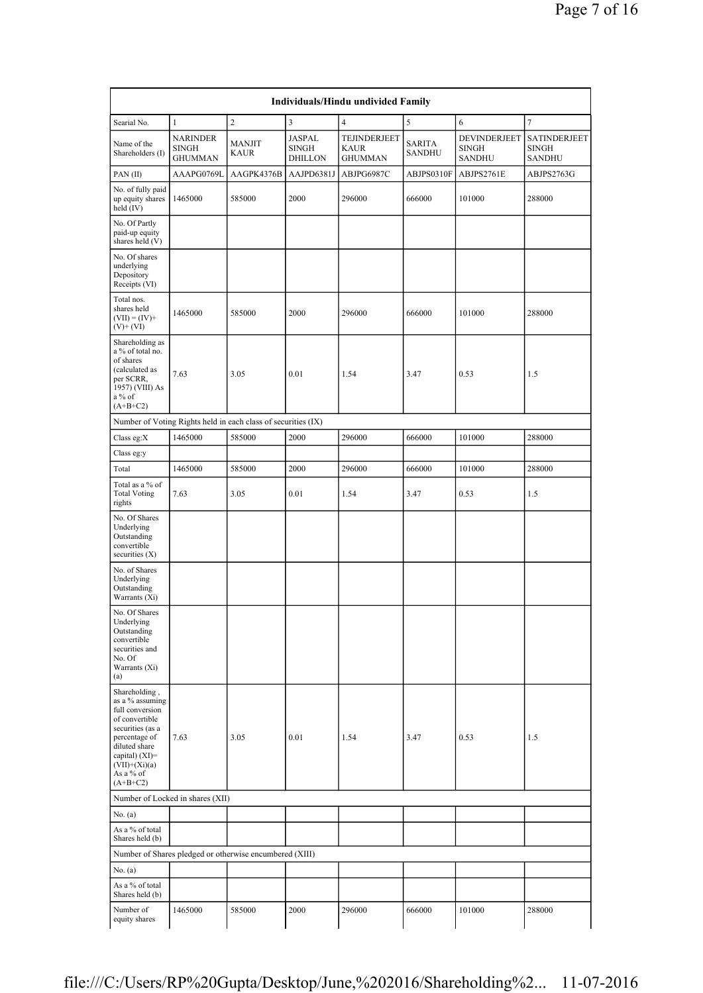|                                                                                                                                                                                             |                                                   |                                                               |                                                 | Individuals/Hindu undivided Family |                         |                                               |                                               |
|---------------------------------------------------------------------------------------------------------------------------------------------------------------------------------------------|---------------------------------------------------|---------------------------------------------------------------|-------------------------------------------------|------------------------------------|-------------------------|-----------------------------------------------|-----------------------------------------------|
| Searial No.                                                                                                                                                                                 | $\mathbf{1}$                                      | $\overline{c}$                                                | 3                                               | $\overline{4}$                     | 5                       | 6                                             | 7                                             |
| Name of the<br>Shareholders (I)                                                                                                                                                             | <b>NARINDER</b><br><b>SINGH</b><br><b>GHUMMAN</b> | <b>MANJIT</b><br><b>KAUR</b>                                  | <b>JASPAL</b><br><b>SINGH</b><br><b>DHILLON</b> | TEJINDERJEET<br>KAUR<br>GHUMMAN    | SARITA<br><b>SANDHU</b> | DEVINDERJEET<br><b>SINGH</b><br><b>SANDHU</b> | SATINDERJEET<br><b>SINGH</b><br><b>SANDHU</b> |
| PAN(II)                                                                                                                                                                                     | AAAPG0769L                                        | AAGPK4376B                                                    | AAJPD6381J                                      | ABJPG6987C                         | ABJPS0310F              | ABJPS2761E                                    | ABJPS2763G                                    |
| No. of fully paid<br>up equity shares<br>held (IV)                                                                                                                                          | 1465000                                           | 585000                                                        | 2000                                            | 296000                             | 666000                  | 101000                                        | 288000                                        |
| No. Of Partly<br>paid-up equity<br>shares held (V)                                                                                                                                          |                                                   |                                                               |                                                 |                                    |                         |                                               |                                               |
| No. Of shares<br>underlying<br>Depository<br>Receipts (VI)                                                                                                                                  |                                                   |                                                               |                                                 |                                    |                         |                                               |                                               |
| Total nos.<br>shares held<br>$(VII) = (IV) +$<br>$(V)$ + (VI)                                                                                                                               | 1465000                                           | 585000                                                        | 2000                                            | 296000                             | 666000                  | 101000                                        | 288000                                        |
| Shareholding as<br>a % of total no.<br>of shares<br>(calculated as<br>per SCRR,<br>1957) (VIII) As<br>$a\%$ of<br>$(A+B+C2)$                                                                | 7.63                                              | 3.05                                                          | 0.01                                            | 1.54                               | 3.47                    | 0.53                                          | 1.5                                           |
|                                                                                                                                                                                             |                                                   | Number of Voting Rights held in each class of securities (IX) |                                                 |                                    |                         |                                               |                                               |
| Class eg: $X$                                                                                                                                                                               | 1465000                                           | 585000                                                        | 2000                                            | 296000                             | 666000                  | 101000                                        | 288000                                        |
| Class eg:y                                                                                                                                                                                  |                                                   |                                                               |                                                 |                                    |                         |                                               |                                               |
| Total                                                                                                                                                                                       | 1465000                                           | 585000                                                        | 2000                                            | 296000                             | 666000                  | 101000                                        | 288000                                        |
| Total as a % of<br><b>Total Voting</b><br>rights                                                                                                                                            | 7.63                                              | 3.05                                                          | 0.01                                            | 1.54                               | 3.47                    | 0.53                                          | 1.5                                           |
| No. Of Shares<br>Underlying<br>Outstanding<br>convertible<br>securities (X)                                                                                                                 |                                                   |                                                               |                                                 |                                    |                         |                                               |                                               |
| No. of Shares<br>Underlying<br>Outstanding<br>Warrants (Xi)                                                                                                                                 |                                                   |                                                               |                                                 |                                    |                         |                                               |                                               |
| No. Of Shares<br>Underlying<br>Outstanding<br>convertible<br>securities and<br>No. Of<br>Warrants (Xi)<br>(a)                                                                               |                                                   |                                                               |                                                 |                                    |                         |                                               |                                               |
| Shareholding,<br>as a % assuming<br>full conversion<br>of convertible<br>securities (as a<br>percentage of<br>diluted share<br>capital) (XI)=<br>$(VII)+(Xi)(a)$<br>As a % of<br>$(A+B+C2)$ | 7.63                                              | 3.05                                                          | 0.01                                            | 1.54                               | 3.47                    | 0.53                                          | 1.5                                           |
| Number of Locked in shares (XII)                                                                                                                                                            |                                                   |                                                               |                                                 |                                    |                         |                                               |                                               |
| No. $(a)$                                                                                                                                                                                   |                                                   |                                                               |                                                 |                                    |                         |                                               |                                               |
| As a % of total<br>Shares held (b)                                                                                                                                                          |                                                   |                                                               |                                                 |                                    |                         |                                               |                                               |
|                                                                                                                                                                                             |                                                   | Number of Shares pledged or otherwise encumbered (XIII)       |                                                 |                                    |                         |                                               |                                               |
| No. $(a)$                                                                                                                                                                                   |                                                   |                                                               |                                                 |                                    |                         |                                               |                                               |
| As a % of total<br>Shares held (b)                                                                                                                                                          |                                                   |                                                               |                                                 |                                    |                         |                                               |                                               |
| Number of<br>equity shares                                                                                                                                                                  | 1465000                                           | 585000                                                        | 2000                                            | 296000                             | 666000                  | 101000                                        | 288000                                        |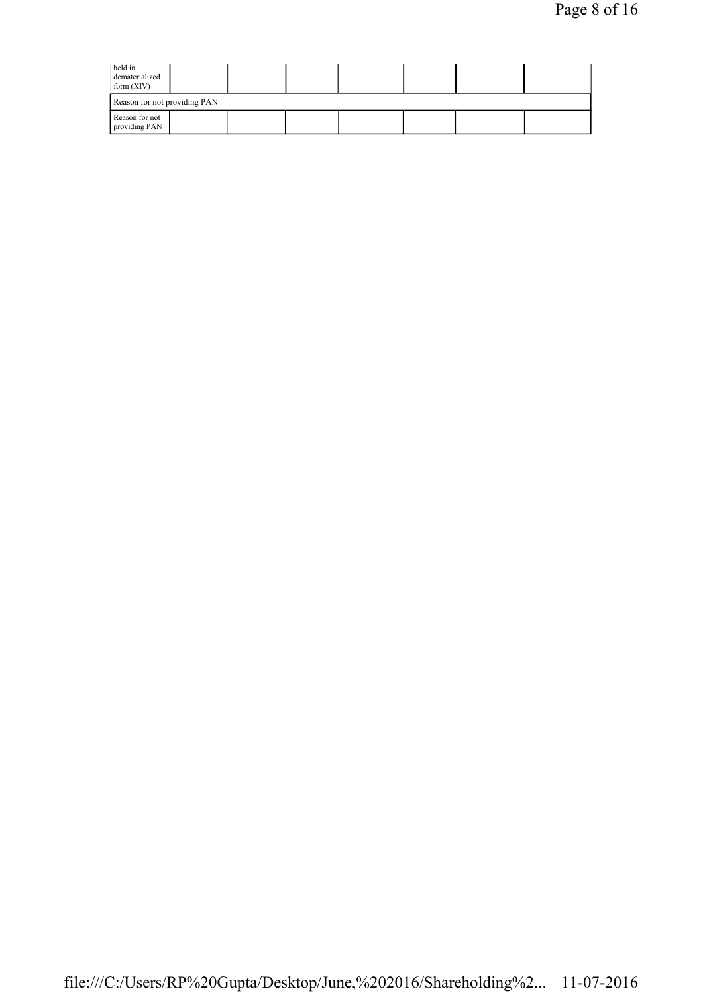| held in<br>dematerialized<br>form $(XIV)$ |  |  |  |  |  |  |  |
|-------------------------------------------|--|--|--|--|--|--|--|
| Reason for not providing PAN              |  |  |  |  |  |  |  |
| Reason for not<br>providing PAN           |  |  |  |  |  |  |  |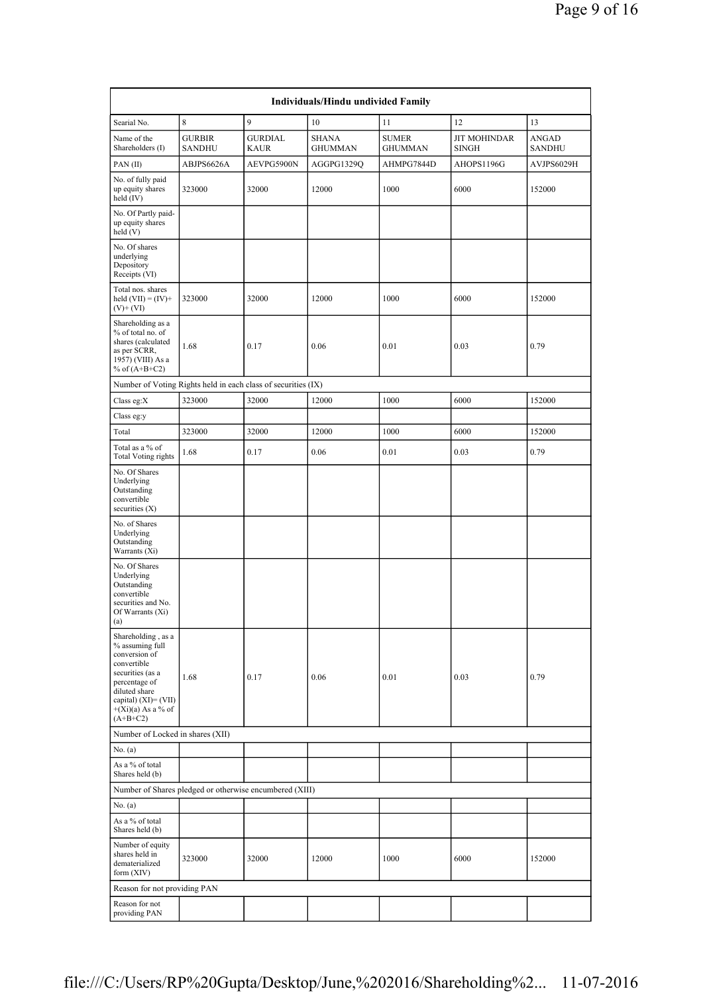|                                                                                                                                                                                              | Individuals/Hindu undivided Family |                               |                                |                                |                                     |                        |  |  |  |  |  |  |
|----------------------------------------------------------------------------------------------------------------------------------------------------------------------------------------------|------------------------------------|-------------------------------|--------------------------------|--------------------------------|-------------------------------------|------------------------|--|--|--|--|--|--|
| Searial No.                                                                                                                                                                                  | 8                                  | 9                             | 10                             | 11                             | 12                                  | 13                     |  |  |  |  |  |  |
| Name of the<br>Shareholders (I)                                                                                                                                                              | <b>GURBIR</b><br><b>SANDHU</b>     | <b>GURDIAL</b><br><b>KAUR</b> | <b>SHANA</b><br><b>GHUMMAN</b> | <b>SUMER</b><br><b>GHUMMAN</b> | <b>JIT MOHINDAR</b><br><b>SINGH</b> | ANGAD<br><b>SANDHU</b> |  |  |  |  |  |  |
| PAN (II)                                                                                                                                                                                     | ABJPS6626A                         | AEVPG5900N                    | AGGPG1329Q                     | AHMPG7844D                     | AHOPS1196G                          | AVJPS6029H             |  |  |  |  |  |  |
| No. of fully paid<br>up equity shares<br>held (IV)                                                                                                                                           | 323000                             | 32000                         | 12000                          | 1000                           | 6000                                | 152000                 |  |  |  |  |  |  |
| No. Of Partly paid-<br>up equity shares<br>held (V)                                                                                                                                          |                                    |                               |                                |                                |                                     |                        |  |  |  |  |  |  |
| No. Of shares<br>underlying<br>Depository<br>Receipts (VI)                                                                                                                                   |                                    |                               |                                |                                |                                     |                        |  |  |  |  |  |  |
| Total nos. shares<br>held $(VII) = (IV) +$<br>$(V)$ + (VI)                                                                                                                                   | 323000                             | 32000                         | 12000                          | 1000                           | 6000                                | 152000                 |  |  |  |  |  |  |
| Shareholding as a<br>% of total no. of<br>shares (calculated<br>as per SCRR,<br>1957) (VIII) As a<br>% of $(A+B+C2)$                                                                         | 1.68                               | 0.17                          | 0.06                           | 0.01                           | 0.03                                | 0.79                   |  |  |  |  |  |  |
| Number of Voting Rights held in each class of securities (IX)                                                                                                                                |                                    |                               |                                |                                |                                     |                        |  |  |  |  |  |  |
| Class eg:X                                                                                                                                                                                   | 323000                             | 32000                         | 12000                          | 1000                           | 6000                                | 152000                 |  |  |  |  |  |  |
| Class eg:y                                                                                                                                                                                   |                                    |                               |                                |                                |                                     |                        |  |  |  |  |  |  |
| Total                                                                                                                                                                                        | 323000                             | 32000                         | 12000                          | 1000                           | 6000                                | 152000                 |  |  |  |  |  |  |
| Total as a % of<br><b>Total Voting rights</b>                                                                                                                                                | 1.68                               | 0.17                          | 0.06                           | 0.01                           | 0.03                                | 0.79                   |  |  |  |  |  |  |
| No. Of Shares<br>Underlying<br>Outstanding<br>convertible<br>securities (X)                                                                                                                  |                                    |                               |                                |                                |                                     |                        |  |  |  |  |  |  |
| No. of Shares<br>Underlying<br>Outstanding<br>Warrants (Xi)                                                                                                                                  |                                    |                               |                                |                                |                                     |                        |  |  |  |  |  |  |
| No. Of Shares<br>Underlying<br>Outstanding<br>convertible<br>securities and No.<br>Of Warrants $(X_i)$<br>(a)                                                                                |                                    |                               |                                |                                |                                     |                        |  |  |  |  |  |  |
| Shareholding, as a<br>% assuming full<br>conversion of<br>convertible<br>securities (as a<br>percentage of<br>diluted share<br>capital) $(XI) = (VII)$<br>$+(Xi)(a)$ As a % of<br>$(A+B+C2)$ | 1.68                               | 0.17                          | 0.06                           | 0.01                           | 0.03                                | 0.79                   |  |  |  |  |  |  |
| Number of Locked in shares (XII)                                                                                                                                                             |                                    |                               |                                |                                |                                     |                        |  |  |  |  |  |  |
| No. (a)                                                                                                                                                                                      |                                    |                               |                                |                                |                                     |                        |  |  |  |  |  |  |
| As a % of total<br>Shares held (b)                                                                                                                                                           |                                    |                               |                                |                                |                                     |                        |  |  |  |  |  |  |
| Number of Shares pledged or otherwise encumbered (XIII)                                                                                                                                      |                                    |                               |                                |                                |                                     |                        |  |  |  |  |  |  |
| No. (a)                                                                                                                                                                                      |                                    |                               |                                |                                |                                     |                        |  |  |  |  |  |  |
| As a % of total<br>Shares held (b)                                                                                                                                                           |                                    |                               |                                |                                |                                     |                        |  |  |  |  |  |  |
| Number of equity<br>shares held in<br>dematerialized<br>form (XIV)                                                                                                                           | 323000                             | 32000                         | 12000                          | 1000                           | 6000                                | 152000                 |  |  |  |  |  |  |
| Reason for not providing PAN                                                                                                                                                                 |                                    |                               |                                |                                |                                     |                        |  |  |  |  |  |  |
| Reason for not<br>providing PAN                                                                                                                                                              |                                    |                               |                                |                                |                                     |                        |  |  |  |  |  |  |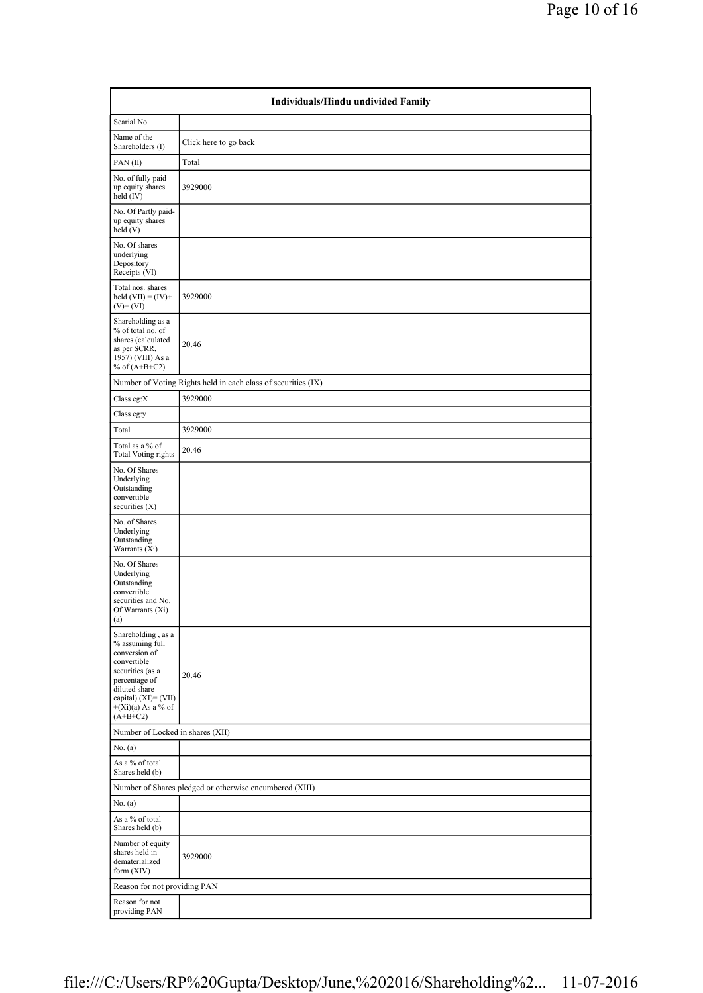|                                                                                                                                                                                           | Individuals/Hindu undivided Family                            |  |  |  |  |  |  |  |  |
|-------------------------------------------------------------------------------------------------------------------------------------------------------------------------------------------|---------------------------------------------------------------|--|--|--|--|--|--|--|--|
| Searial No.                                                                                                                                                                               |                                                               |  |  |  |  |  |  |  |  |
| Name of the<br>Shareholders (I)                                                                                                                                                           | Click here to go back                                         |  |  |  |  |  |  |  |  |
| PAN(II)                                                                                                                                                                                   | Total                                                         |  |  |  |  |  |  |  |  |
| No. of fully paid<br>up equity shares<br>held (IV)                                                                                                                                        | 3929000                                                       |  |  |  |  |  |  |  |  |
| No. Of Partly paid-<br>up equity shares<br>held(V)                                                                                                                                        |                                                               |  |  |  |  |  |  |  |  |
| No. Of shares<br>underlying<br>Depository<br>Receipts (VI)                                                                                                                                |                                                               |  |  |  |  |  |  |  |  |
| Total nos. shares<br>held $(VII) = (IV) +$<br>$(V)$ + $(VI)$                                                                                                                              | 3929000                                                       |  |  |  |  |  |  |  |  |
| Shareholding as a<br>% of total no. of<br>shares (calculated<br>as per SCRR,<br>1957) (VIII) As a<br>% of $(A+B+C2)$                                                                      | 20.46                                                         |  |  |  |  |  |  |  |  |
|                                                                                                                                                                                           | Number of Voting Rights held in each class of securities (IX) |  |  |  |  |  |  |  |  |
| Class eg:X                                                                                                                                                                                | 3929000                                                       |  |  |  |  |  |  |  |  |
| Class eg:y                                                                                                                                                                                |                                                               |  |  |  |  |  |  |  |  |
| Total                                                                                                                                                                                     | 3929000                                                       |  |  |  |  |  |  |  |  |
| Total as a % of<br>Total Voting rights                                                                                                                                                    | 20.46                                                         |  |  |  |  |  |  |  |  |
| No. Of Shares<br>Underlying<br>Outstanding<br>convertible<br>securities $(X)$                                                                                                             |                                                               |  |  |  |  |  |  |  |  |
| No. of Shares<br>Underlying<br>Outstanding<br>Warrants (Xi)                                                                                                                               |                                                               |  |  |  |  |  |  |  |  |
| No. Of Shares<br>Underlying<br>Outstanding<br>convertible<br>securities and No.<br>Of Warrants (Xi)<br>(a)                                                                                |                                                               |  |  |  |  |  |  |  |  |
| Shareholding, as a<br>% assuming full<br>conversion of<br>convertible<br>securities (as a<br>percentage of<br>diluted share<br>capital) (XI)= (VII)<br>$+(Xi)(a)$ As a % of<br>$(A+B+C2)$ | 20.46                                                         |  |  |  |  |  |  |  |  |
| Number of Locked in shares (XII)                                                                                                                                                          |                                                               |  |  |  |  |  |  |  |  |
| No. (a)                                                                                                                                                                                   |                                                               |  |  |  |  |  |  |  |  |
| As a % of total<br>Shares held (b)                                                                                                                                                        |                                                               |  |  |  |  |  |  |  |  |
|                                                                                                                                                                                           | Number of Shares pledged or otherwise encumbered (XIII)       |  |  |  |  |  |  |  |  |
| No. (a)                                                                                                                                                                                   |                                                               |  |  |  |  |  |  |  |  |
| As a % of total<br>Shares held (b)                                                                                                                                                        |                                                               |  |  |  |  |  |  |  |  |
| Number of equity<br>shares held in<br>dematerialized<br>form $(XIV)$                                                                                                                      | 3929000                                                       |  |  |  |  |  |  |  |  |
| Reason for not providing PAN                                                                                                                                                              |                                                               |  |  |  |  |  |  |  |  |
| Reason for not<br>providing PAN                                                                                                                                                           |                                                               |  |  |  |  |  |  |  |  |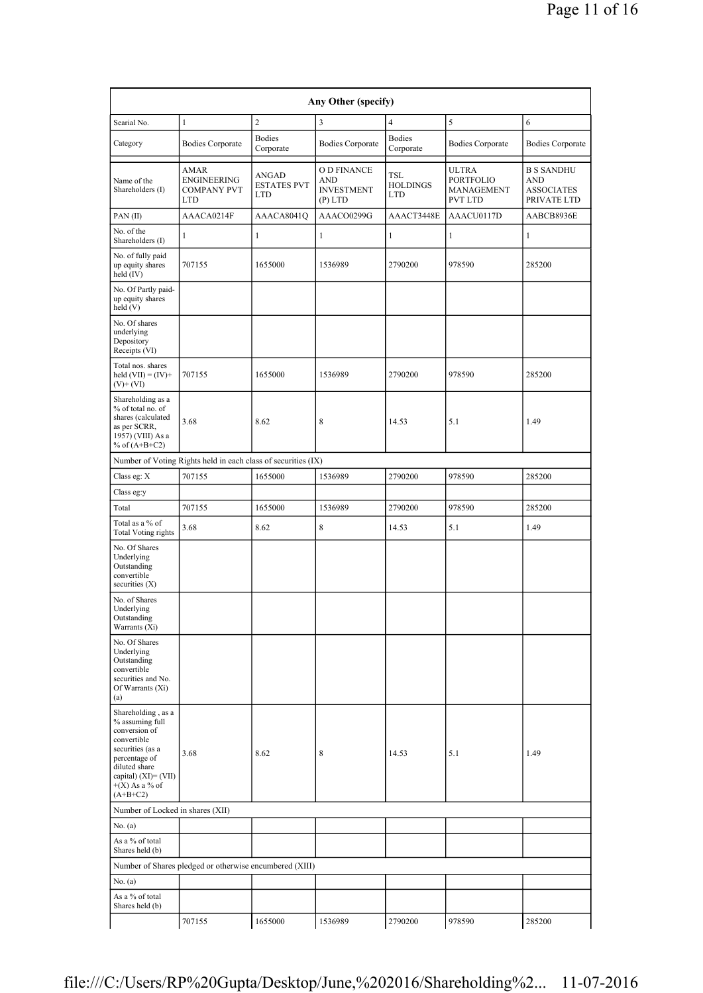|                                                                                                                                                                                          | Any Other (specify)                                           |                                           |                                                             |                                      |                                                                  |                                                                     |  |  |  |  |  |
|------------------------------------------------------------------------------------------------------------------------------------------------------------------------------------------|---------------------------------------------------------------|-------------------------------------------|-------------------------------------------------------------|--------------------------------------|------------------------------------------------------------------|---------------------------------------------------------------------|--|--|--|--|--|
| Searial No.                                                                                                                                                                              | $\mathbf{1}$                                                  | $\overline{c}$                            | 3                                                           | $\overline{4}$                       | 5                                                                | 6                                                                   |  |  |  |  |  |
| Category                                                                                                                                                                                 | <b>Bodies Corporate</b>                                       | <b>Bodies</b><br>Corporate                | <b>Bodies Corporate</b>                                     | <b>Bodies</b><br>Corporate           | <b>Bodies Corporate</b>                                          | <b>Bodies Corporate</b>                                             |  |  |  |  |  |
| Name of the<br>Shareholders (I)                                                                                                                                                          | AMAR<br>ENGINEERING<br><b>COMPANY PVT</b><br><b>LTD</b>       | ANGAD<br><b>ESTATES PVT</b><br><b>LTD</b> | O D FINANCE<br><b>AND</b><br><b>INVESTMENT</b><br>$(P)$ LTD | TSL<br><b>HOLDINGS</b><br><b>LTD</b> | <b>ULTRA</b><br><b>PORTFOLIO</b><br>MANAGEMENT<br><b>PVT LTD</b> | <b>B S SANDHU</b><br><b>AND</b><br><b>ASSOCIATES</b><br>PRIVATE LTD |  |  |  |  |  |
| PAN(II)                                                                                                                                                                                  | AAACA0214F                                                    | AAACA8041O                                | AAACO0299G                                                  | AAACT3448E                           | AAACU0117D                                                       | AABCB8936E                                                          |  |  |  |  |  |
| No. of the<br>Shareholders (I)                                                                                                                                                           | 1                                                             | $\mathbf{1}$                              | $\mathbf{1}$                                                | 1                                    | $\mathbf{1}$                                                     | 1                                                                   |  |  |  |  |  |
| No. of fully paid<br>up equity shares<br>held (IV)                                                                                                                                       | 707155                                                        | 1655000                                   | 1536989                                                     | 2790200                              | 978590                                                           | 285200                                                              |  |  |  |  |  |
| No. Of Partly paid-<br>up equity shares<br>held(V)                                                                                                                                       |                                                               |                                           |                                                             |                                      |                                                                  |                                                                     |  |  |  |  |  |
| No. Of shares<br>underlying<br>Depository<br>Receipts (VI)                                                                                                                               |                                                               |                                           |                                                             |                                      |                                                                  |                                                                     |  |  |  |  |  |
| Total nos. shares<br>held $(VII) = (IV) +$<br>$(V)$ + $(VI)$                                                                                                                             | 707155                                                        | 1655000                                   | 1536989                                                     | 2790200                              | 978590                                                           | 285200                                                              |  |  |  |  |  |
| Shareholding as a<br>% of total no. of<br>shares (calculated<br>as per SCRR,<br>1957) (VIII) As a<br>% of $(A+B+C2)$                                                                     | 3.68                                                          | 8.62                                      | 8                                                           | 14.53                                | 5.1                                                              | 1.49                                                                |  |  |  |  |  |
|                                                                                                                                                                                          | Number of Voting Rights held in each class of securities (IX) |                                           |                                                             |                                      |                                                                  |                                                                     |  |  |  |  |  |
| Class eg: X                                                                                                                                                                              | 707155                                                        | 1655000                                   | 1536989                                                     | 2790200                              | 978590                                                           | 285200                                                              |  |  |  |  |  |
| Class eg:y                                                                                                                                                                               |                                                               |                                           |                                                             |                                      |                                                                  |                                                                     |  |  |  |  |  |
| Total                                                                                                                                                                                    | 707155                                                        | 1655000                                   | 1536989                                                     | 2790200                              | 978590                                                           | 285200                                                              |  |  |  |  |  |
| Total as a % of<br><b>Total Voting rights</b>                                                                                                                                            | 3.68                                                          | 8.62                                      | $\,$ 8 $\,$                                                 | 14.53                                | 5.1                                                              | 1.49                                                                |  |  |  |  |  |
| No. Of Shares<br>Underlying<br>Outstanding<br>convertible<br>securities $(X)$                                                                                                            |                                                               |                                           |                                                             |                                      |                                                                  |                                                                     |  |  |  |  |  |
| No. of Shares<br>Underlying<br>Outstanding<br>Warrants (Xi)                                                                                                                              |                                                               |                                           |                                                             |                                      |                                                                  |                                                                     |  |  |  |  |  |
| No. Of Shares<br>Underlying<br>Outstanding<br>convertible<br>securities and No.<br>Of Warrants (Xi)<br>(a)                                                                               |                                                               |                                           |                                                             |                                      |                                                                  |                                                                     |  |  |  |  |  |
| Shareholding, as a<br>% assuming full<br>conversion of<br>convertible<br>securities (as a<br>percentage of<br>diluted share<br>capital) $(XI) = (VII)$<br>$+(X)$ As a % of<br>$(A+B+C2)$ | 3.68                                                          | 8.62                                      | 8                                                           | 14.53                                | 5.1                                                              | 1.49                                                                |  |  |  |  |  |
| Number of Locked in shares (XII)                                                                                                                                                         |                                                               |                                           |                                                             |                                      |                                                                  |                                                                     |  |  |  |  |  |
| No. $(a)$                                                                                                                                                                                |                                                               |                                           |                                                             |                                      |                                                                  |                                                                     |  |  |  |  |  |
| As a % of total<br>Shares held (b)                                                                                                                                                       |                                                               |                                           |                                                             |                                      |                                                                  |                                                                     |  |  |  |  |  |
|                                                                                                                                                                                          | Number of Shares pledged or otherwise encumbered (XIII)       |                                           |                                                             |                                      |                                                                  |                                                                     |  |  |  |  |  |
| No. (a)                                                                                                                                                                                  |                                                               |                                           |                                                             |                                      |                                                                  |                                                                     |  |  |  |  |  |
| As a % of total<br>Shares held (b)                                                                                                                                                       |                                                               |                                           |                                                             |                                      |                                                                  |                                                                     |  |  |  |  |  |
|                                                                                                                                                                                          | 707155                                                        | 1655000                                   | 1536989                                                     | 2790200                              | 978590                                                           | 285200                                                              |  |  |  |  |  |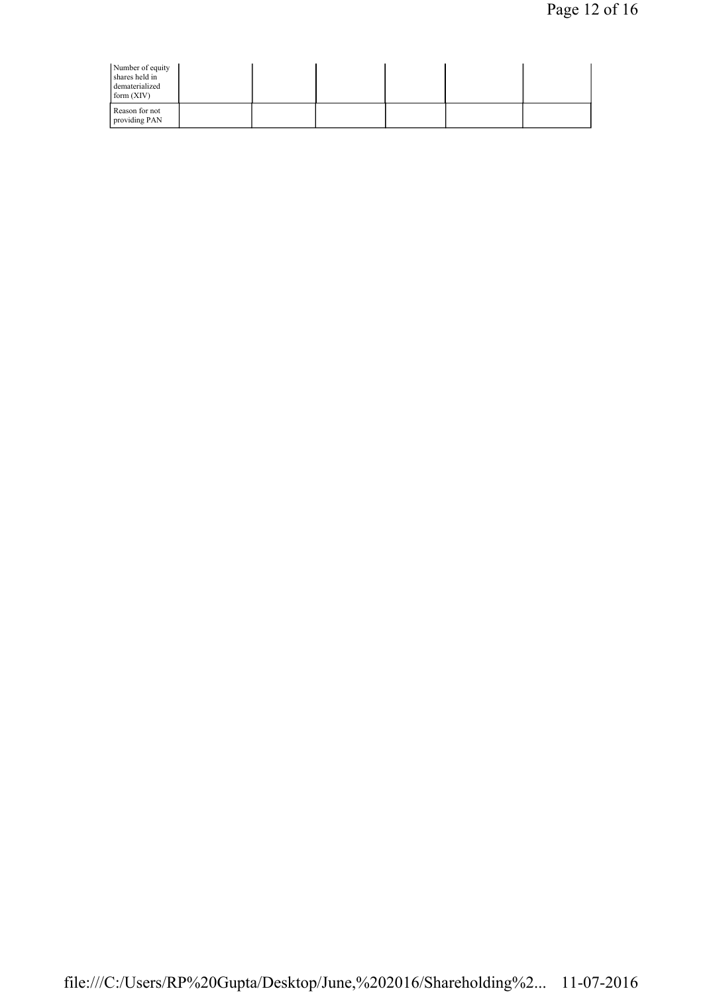| Number of equity<br>shares held in<br>dematerialized<br>form (XIV) |  |  |  |  |
|--------------------------------------------------------------------|--|--|--|--|
| Reason for not<br>providing PAN                                    |  |  |  |  |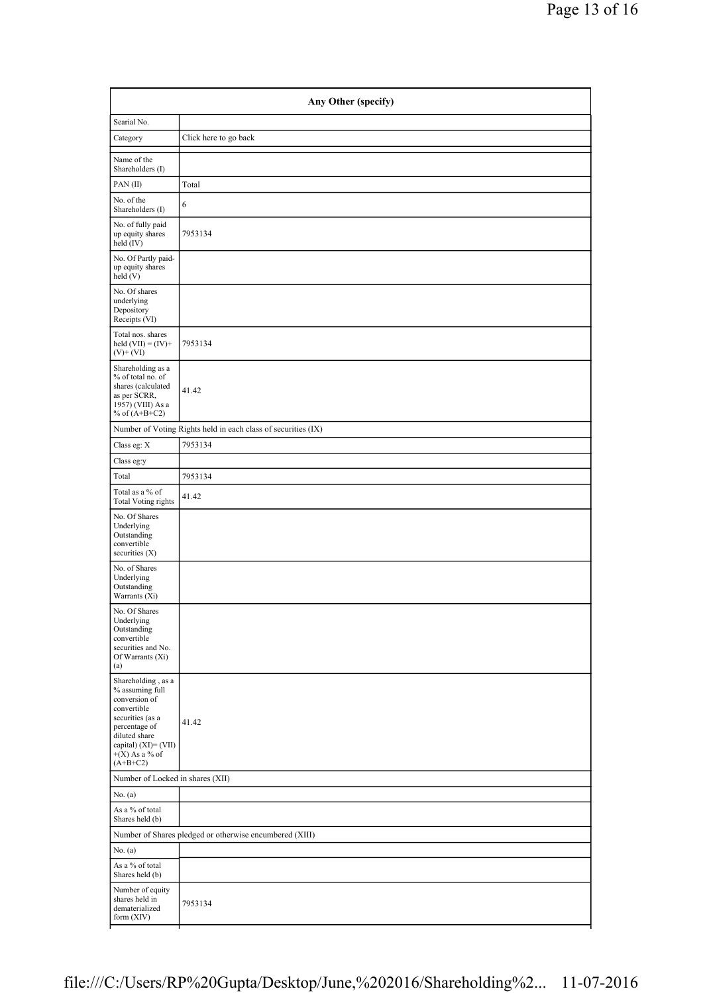| Searial No.                                                                                                                                                                              |                                                               |
|------------------------------------------------------------------------------------------------------------------------------------------------------------------------------------------|---------------------------------------------------------------|
| Category                                                                                                                                                                                 | Click here to go back                                         |
|                                                                                                                                                                                          |                                                               |
| Name of the<br>Shareholders (I)                                                                                                                                                          |                                                               |
| PAN(II)                                                                                                                                                                                  | Total                                                         |
| No. of the<br>Shareholders (I)                                                                                                                                                           | 6                                                             |
| No. of fully paid<br>up equity shares<br>held (IV)                                                                                                                                       | 7953134                                                       |
| No. Of Partly paid-<br>up equity shares<br>held(V)                                                                                                                                       |                                                               |
| No. Of shares<br>underlying<br>Depository<br>Receipts (VI)                                                                                                                               |                                                               |
| Total nos. shares<br>held $(VII) = (IV) +$<br>$(V)$ + $(VI)$                                                                                                                             | 7953134                                                       |
| Shareholding as a<br>% of total no. of<br>shares (calculated<br>as per SCRR,<br>1957) (VIII) As a<br>% of $(A+B+C2)$                                                                     | 41.42                                                         |
|                                                                                                                                                                                          | Number of Voting Rights held in each class of securities (IX) |
| Class eg: X                                                                                                                                                                              | 7953134                                                       |
| Class eg:y                                                                                                                                                                               |                                                               |
| Total                                                                                                                                                                                    | 7953134                                                       |
| Total as a % of<br><b>Total Voting rights</b>                                                                                                                                            | 41.42                                                         |
| No. Of Shares<br>Underlying<br>Outstanding<br>convertible<br>securities $(X)$                                                                                                            |                                                               |
| No. of Shares<br>Underlying<br>Outstanding<br>Warrants (Xi)                                                                                                                              |                                                               |
| No. Of Shares<br>Underlying<br>Outstanding<br>convertible<br>securities and No.<br>Of Warrants (Xi)<br>(a)                                                                               |                                                               |
| Shareholding, as a<br>% assuming full<br>conversion of<br>convertible<br>securities (as a<br>percentage of<br>diluted share<br>capital) $(XI) = (VII)$<br>$+(X)$ As a % of<br>$(A+B+C2)$ | 41.42                                                         |
| Number of Locked in shares (XII)                                                                                                                                                         |                                                               |
| No. $(a)$                                                                                                                                                                                |                                                               |
| As a % of total<br>Shares held (b)                                                                                                                                                       |                                                               |
|                                                                                                                                                                                          | Number of Shares pledged or otherwise encumbered (XIII)       |
| No. (a)                                                                                                                                                                                  |                                                               |
| As a % of total<br>Shares held (b)                                                                                                                                                       |                                                               |
| Number of equity<br>shares held in<br>dematerialized<br>form $(XIV)$                                                                                                                     | 7953134                                                       |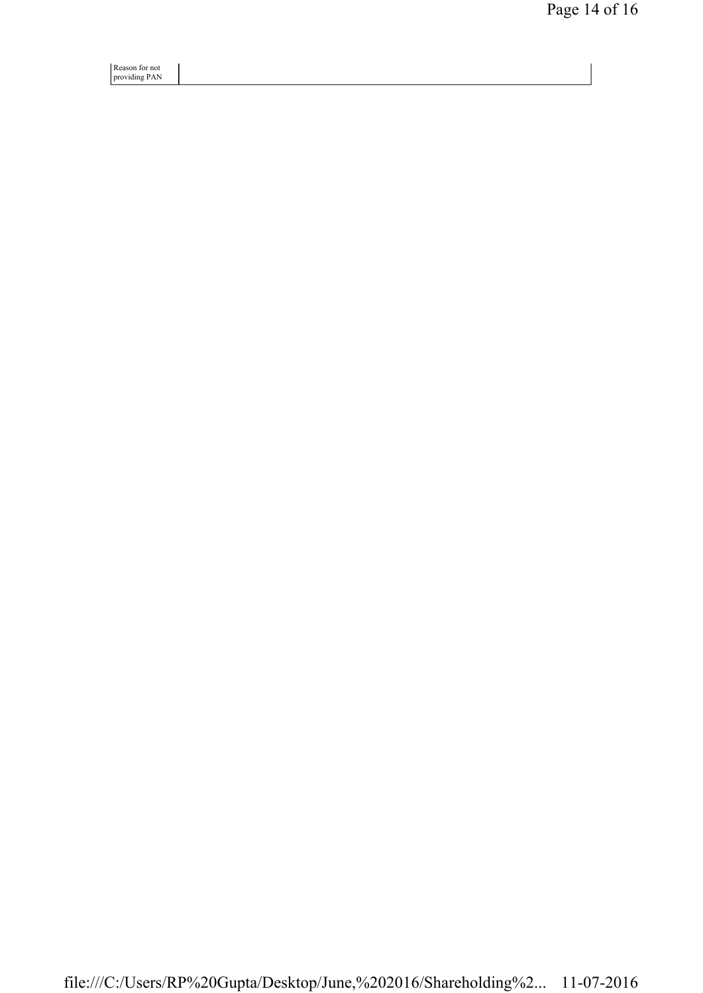Reason for not providing PAN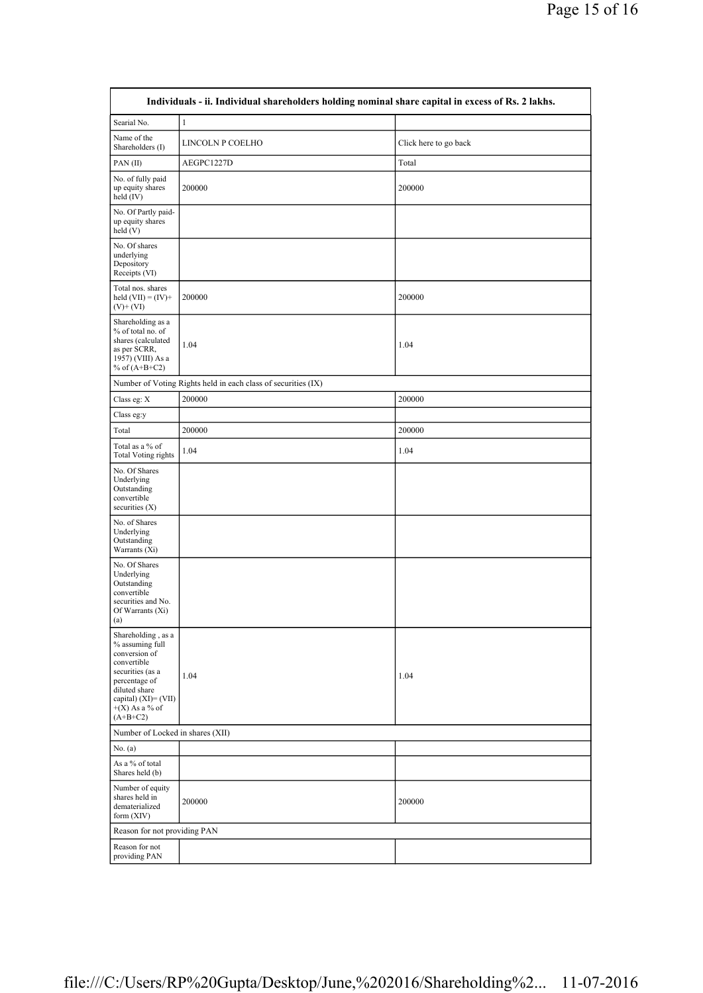| Individuals - ii. Individual shareholders holding nominal share capital in excess of Rs. 2 lakhs.                                                                                        |                  |                       |  |
|------------------------------------------------------------------------------------------------------------------------------------------------------------------------------------------|------------------|-----------------------|--|
| Searial No.                                                                                                                                                                              | $\mathbf{1}$     |                       |  |
| Name of the<br>Shareholders (I)                                                                                                                                                          | LINCOLN P COELHO | Click here to go back |  |
| PAN(II)                                                                                                                                                                                  | AEGPC1227D       | Total                 |  |
| No. of fully paid<br>up equity shares<br>held $(IV)$                                                                                                                                     | 200000           | 200000                |  |
| No. Of Partly paid-<br>up equity shares<br>held(V)                                                                                                                                       |                  |                       |  |
| No. Of shares<br>underlying<br>Depository<br>Receipts (VI)                                                                                                                               |                  |                       |  |
| Total nos. shares<br>held $(VII) = (IV) +$<br>$(V)$ + (VI)                                                                                                                               | 200000           | 200000                |  |
| Shareholding as a<br>% of total no. of<br>shares (calculated<br>as per SCRR,<br>1957) (VIII) As a<br>% of $(A+B+C2)$                                                                     | 1.04             | 1.04                  |  |
| Number of Voting Rights held in each class of securities (IX)                                                                                                                            |                  |                       |  |
| Class eg: X                                                                                                                                                                              | 200000           | 200000                |  |
| Class eg:y                                                                                                                                                                               |                  |                       |  |
| Total                                                                                                                                                                                    | 200000           | 200000                |  |
| Total as a % of<br><b>Total Voting rights</b>                                                                                                                                            | 1.04             | 1.04                  |  |
| No. Of Shares<br>Underlying<br>Outstanding<br>convertible<br>securities $(X)$                                                                                                            |                  |                       |  |
| No. of Shares<br>Underlying<br>Outstanding<br>Warrants (Xi)                                                                                                                              |                  |                       |  |
| No. Of Shares<br>Underlying<br>Outstanding<br>convertible<br>securities and No.<br>Of Warrants (Xi)<br>(a)                                                                               |                  |                       |  |
| Shareholding, as a<br>% assuming full<br>conversion of<br>convertible<br>securities (as a<br>percentage of<br>diluted share<br>capital) $(XI) = (VII)$<br>$+(X)$ As a % of<br>$(A+B+C2)$ | 1.04             | 1.04                  |  |
| Number of Locked in shares (XII)                                                                                                                                                         |                  |                       |  |
| No. $(a)$                                                                                                                                                                                |                  |                       |  |
| As a % of total<br>Shares held (b)                                                                                                                                                       |                  |                       |  |
| Number of equity<br>shares held in<br>dematerialized<br>form (XIV)                                                                                                                       | 200000           | 200000                |  |
| Reason for not providing PAN                                                                                                                                                             |                  |                       |  |
| Reason for not<br>providing PAN                                                                                                                                                          |                  |                       |  |